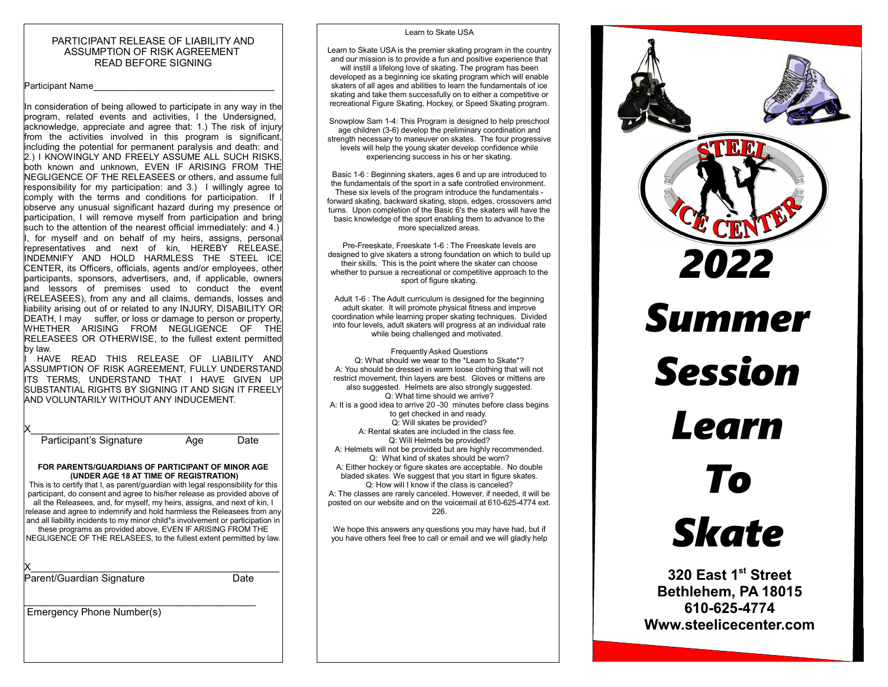#### PARTICIPANT RELEASE OF LIABILITY AND ASSUMPTION OF RISK AGREEMENT READ BEFORE SIGNING

#### Participant Name

In consideration of being allowed to participate in any way in the program, related events and activities, I the Undersigned, acknowledge, appreciate and agree that: 1.) The risk of injury from the activities involved in this program is significant, including the potential for permanent paralysis and death: and 2.) I KNOWINGLY AND FREELY ASSUME ALL SUCH RISKS, both known and unknown, EVEN IF ARISING FROM THE NEGLIGENCE OF THE RELEASEES or others, and assume full responsibility for my participation: and 3.) I willingly agree to comply with the terms and conditions for participation. If I observe any unusual significant hazard during my presence or participation, I will remove myself from participation and bring such to the attention of the nearest official immediately: and 4.) , for myself and on behalf of my heirs, assigns, personal representatives and next of kin, HEREBY RELEASE, INDEMNIFY AND HOLD HARMLESS THE STEEL ICE CENTER, its Officers, officials, agents and/or employees, other participants, sponsors, advertisers, and, if applicable, owners and lessors of premises used to conduct the event (RELEASEES), from any and all claims, demands, losses and liability arising out of or related to any INJURY, DISABILITY OR DEATH, I may suffer, or loss or damage to person or property, WHETHER ARISING FROM NEGLIGENCE OF THE RELEASEES OR OTHERWISE, to the fullest extent permitted by law.

I HAVE READ THIS RELEASE OF LIABILITY AND ASSUMPTION OF RISK AGREEMENT, FULLY UNDERSTAND ITS TERMS, UNDERSTAND THAT I HAVE GIVEN UP SUBSTANTIAL RIGHTS BY SIGNING IT AND SIGN IT FREELY AND VOLUNTARILY WITHOUT ANY INDUCEMENT.

| Participant's Signature                                                                                                                                                                                                                                                                                                                                                                                                                                                                                                                                                                                                                      | Age | Date |
|----------------------------------------------------------------------------------------------------------------------------------------------------------------------------------------------------------------------------------------------------------------------------------------------------------------------------------------------------------------------------------------------------------------------------------------------------------------------------------------------------------------------------------------------------------------------------------------------------------------------------------------------|-----|------|
| FOR PARENTS/GUARDIANS OF PARTICIPANT OF MINOR AGE<br>(UNDER AGE 18 AT TIME OF REGISTRATION)<br>This is to certify that I, as parent/quardian with legal responsibility for this<br>participant, do consent and agree to his/her release as provided above of<br>all the Releasees, and, for myself, my heirs, assigns, and next of kin, I<br>release and agree to indemnify and hold harmless the Releasees from any<br>and all liability incidents to my minor child*s involvement or participation in<br>these programs as provided above, EVEN IF ARISING FROM THE<br>NEGLIGENCE OF THE RELASEES, to the fullest extent permitted by law. |     |      |
| Parent/Guardian Signature                                                                                                                                                                                                                                                                                                                                                                                                                                                                                                                                                                                                                    |     | Date |
| Emergency Phone Number(s)                                                                                                                                                                                                                                                                                                                                                                                                                                                                                                                                                                                                                    |     |      |
|                                                                                                                                                                                                                                                                                                                                                                                                                                                                                                                                                                                                                                              |     |      |

#### Learn to Skate USA

Learn to Skate USA is the premier skating program in the country and our mission is to provide a fun and positive experience that will instill a lifelong love of skating. The program has been developed as a beginning ice skating program which will enable skaters of all ages and abilities to learn the fundamentals of ice skating and take them successfully on to either a competitive or recreational Figure Skating, Hockey, or Speed Skating program.

Snowplow Sam 1-4: This Program is designed to help preschool age children (3-6) develop the preliminary coordination and strength necessary to maneuver on skates. The four progressive levels will help the young skater develop confidence while experiencing success in his or her skating.

Basic 1-6 : Beginning skaters, ages 6 and up are introduced to the fundamentals of the sport in a safe controlled environment. These six levels of the program introduce the fundamentals forward skating, backward skating, stops, edges, crossovers amd turns. Upon completion of the Basic 6's the skaters will have the basic knowledge of the sport enabling them to advance to the more specialized areas.

Pre-Freeskate, Freeskate 1-6 : The Freeskate levels are designed to give skaters a strong foundation on which to build up their skills. This is the point where the skater can choose whether to pursue a recreational or competitive approach to the sport of figure skating.

Adult 1-6 : The Adult curriculum is designed for the beginning adult skater. It will promote physical fitness and improve coordination while learning proper skating techniques. Divided into four levels, adult skaters will progress at an individual rate while being challenged and motivated.

Frequently Asked Questions Q: What should we wear to the \*Learn to Skate\*? A: You should be dressed in warm loose clothing that will not restrict movement, thin layers are best. Gloves or mittens are also suggested. Helmets are also strongly suggested. Q: What time should we arrive? A: It is a good idea to arrive 20 -30 minutes before class begins to get checked in and ready. Q: Will skates be provided? A: Rental skates are included in the class fee. Q: Will Helmets be provided? A: Helmets will not be provided but are highly recommended. Q: What kind of skates should be worn? A: Either hockey or figure skates are acceptable. No double bladed skates. We suggest that you start in figure skates. Q: How will I know if the class is canceled? A: The classes are rarely canceled. However, if needed, it will be posted on our website and on the voicemail at 610-625-4774 ext. 226.

We hope this answers any questions you may have had, but if you have others feel free to call or email and we will gladly help



**320 East 1st Street Bethlehem, PA 18015 610-625-4774 Www.steelicecenter.com**